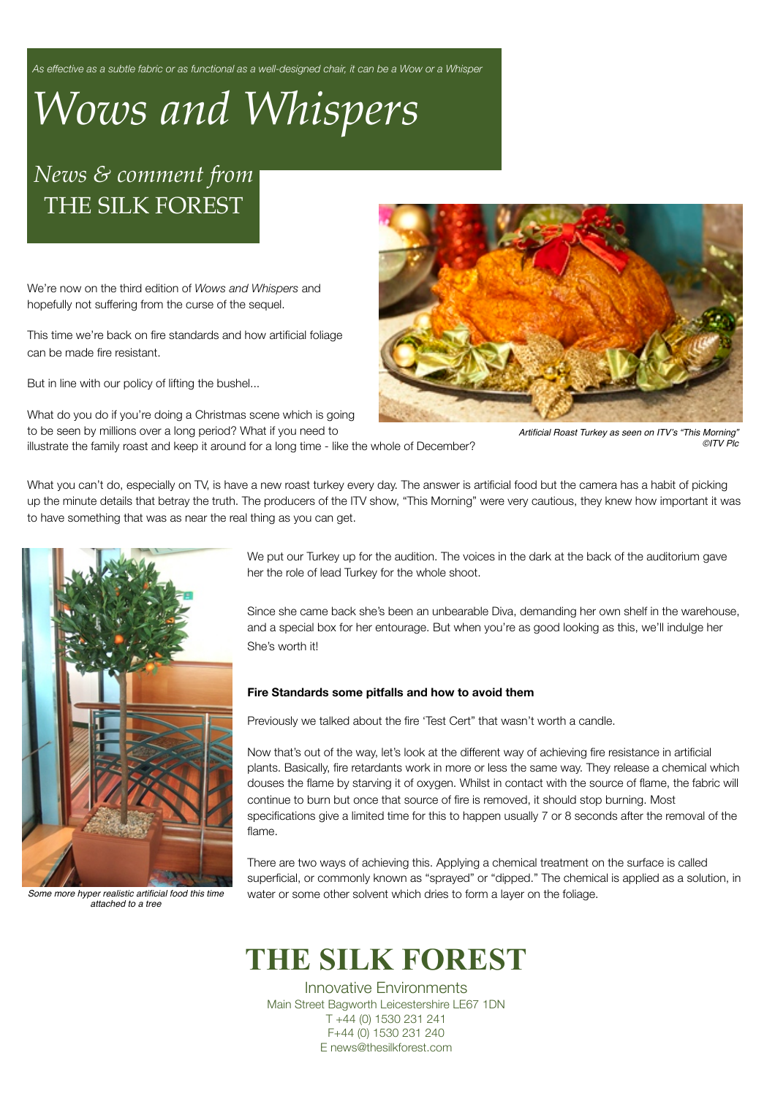*As effective as a subtle fabric or as functional as a well-designed chair, it can be a Wow or a Whisper* 

# *Wows and Whispers*

## *News & comment from* THE SILK FOREST

We're now on the third edition of *Wows and Whispers* and hopefully not suffering from the curse of the sequel.

This time we're back on fire standards and how artificial foliage can be made fire resistant.

But in line with our policy of lifting the bushel...

What do you do if you're doing a Christmas scene which is going to be seen by millions over a long period? What if you need to illustrate the family roast and keep it around for a long time - like the whole of December?



*Artificial Roast Turkey as seen on ITV*'*s "This Morning" ©ITV Plc*

What you can't do, especially on TV, is have a new roast turkey every day. The answer is artificial food but the camera has a habit of picking up the minute details that betray the truth. The producers of the ITV show, "This Morning" were very cautious, they knew how important it was to have something that was as near the real thing as you can get.



*Some more hyper realistic artificial food this time attached to a tree*

We put our Turkey up for the audition. The voices in the dark at the back of the auditorium gave her the role of lead Turkey for the whole shoot.

Since she came back she's been an unbearable Diva, demanding her own shelf in the warehouse, and a special box for her entourage. But when you're as good looking as this, we'll indulge her She's worth it!

#### **Fire Standards some pitfalls and how to avoid them**

Previously we talked about the fire 'Test Cert" that wasn't worth a candle.

Now that's out of the way, let's look at the different way of achieving fire resistance in artificial plants. Basically, fire retardants work in more or less the same way. They release a chemical which douses the flame by starving it of oxygen. Whilst in contact with the source of flame, the fabric will continue to burn but once that source of fire is removed, it should stop burning. Most specifications give a limited time for this to happen usually 7 or 8 seconds after the removal of the flame.

There are two ways of achieving this. Applying a chemical treatment on the surface is called superficial, or commonly known as "sprayed" or "dipped." The chemical is applied as a solution, in water or some other solvent which dries to form a layer on the foliage.

# **THE SILK FOREST**

Innovative Environments Main Street Bagworth Leicestershire LE67 1DN T +44 (0) 1530 231 241 F+44 (0) 1530 231 240 E news@thesilkforest.com